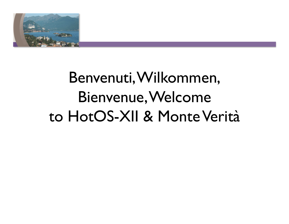

### Benvenuti, Wilkommen, Bienvenue, Welcome to HotOS-XII & Monte Verità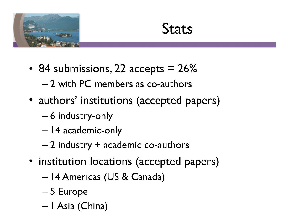

### **Stats**

- 84 submissions, 22 accepts = 26%
	- 2 with PC members as co-authors
- authors' institutions (accepted papers)
	- 6 industry-only
	- 14 academic-only
	- 2 industry + academic co-authors
- institution locations (accepted papers)
	- 14 Americas (US & Canada)
	- 5 Europe
	- 1 Asia (China)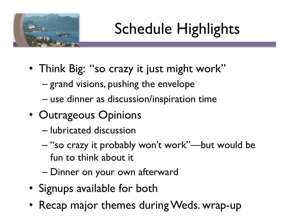

# Schedule Highlights

- Think Big: "so crazy it just might work"
	- grand visions, pushing the envelope
	- use dinner as discussion/inspiration time
- Outrageous Opinions
	- lubricated discussion
	- "so crazy it probably won't work"—but would be fun to think about it
	- Dinner on your own afterward
- Signups available for both
- Recap major themes during Weds. wrap-up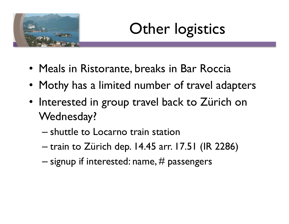

## Other logistics

- Meals in Ristorante, breaks in Bar Roccia
- Mothy has a limited number of travel adapters
- Interested in group travel back to Zürich on Wednesday?
	- shuttle to Locarno train station
	- train to Zürich dep. 14.45 arr. 17.51 (IR 2286)
	- $-$  signup if interested: name,  $\#$  passengers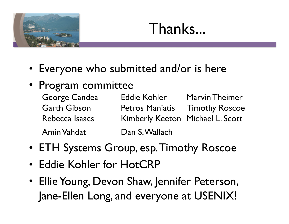

### Thanks...

- Everyone who submitted and/or is here
- Program committee
	- George Candea Eddie Kohler Marvin Theimer Garth Gibson Petros Maniatis Timothy Roscoe Rebecca Isaacs Kimberly Keeton Michael L. Scott Amin Vahdat 
	Dan S. Wallach
- ETH Systems Group, esp. Timothy Roscoe
- Eddie Kohler for HotCRP
- Ellie Young, Devon Shaw, Jennifer Peterson, Jane-Ellen Long, and everyone at USENIX!